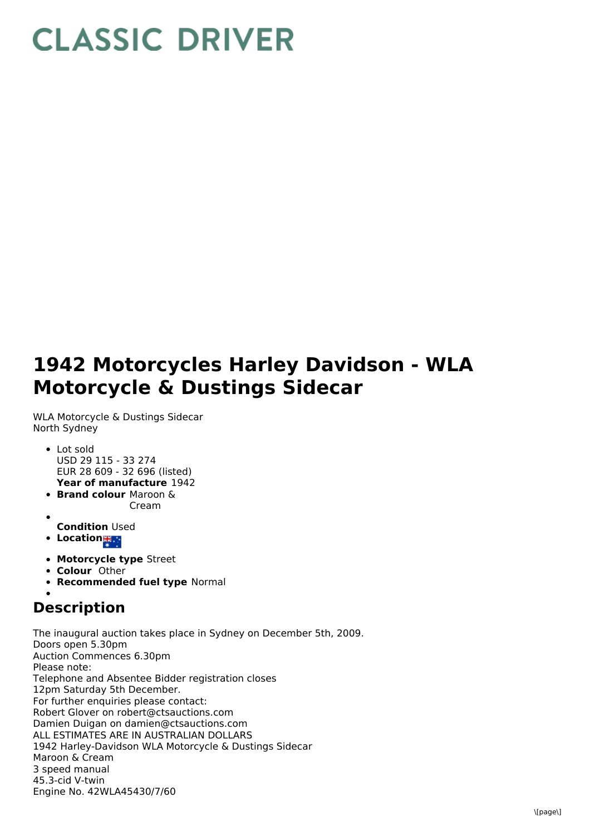## **CLASSIC DRIVER**

## **1942 Motorcycles Harley Davidson - WLA Motorcycle & Dustings Sidecar**

WLA Motorcycle & Dustings Sidecar North Sydney

- **Year of manufacture** 1942 • Lot sold USD 29 115 - 33 274 EUR 28 609 - 32 696 (listed)
- **Brand colour** Maroon & Cream
- 
- **Condition** Used
- **Location ##**
- **Motorcycle type** Street
- **Colour** Other
- **Recommended fuel type** Normal

## **Description**

The inaugural auction takes place in Sydney on December 5th, 2009. Doors open 5.30pm Auction Commences 6.30pm Please note: Telephone and Absentee Bidder registration closes 12pm Saturday 5th December. For further enquiries please contact: Robert Glover on robert@ctsauctions.com Damien Duigan on damien@ctsauctions.com ALL ESTIMATES ARE IN AUSTRALIAN DOLLARS 1942 Harley-Davidson WLA Motorcycle & Dustings Sidecar Maroon & Cream 3 speed manual 45.3-cid V-twin Engine No. 42WLA45430/7/60